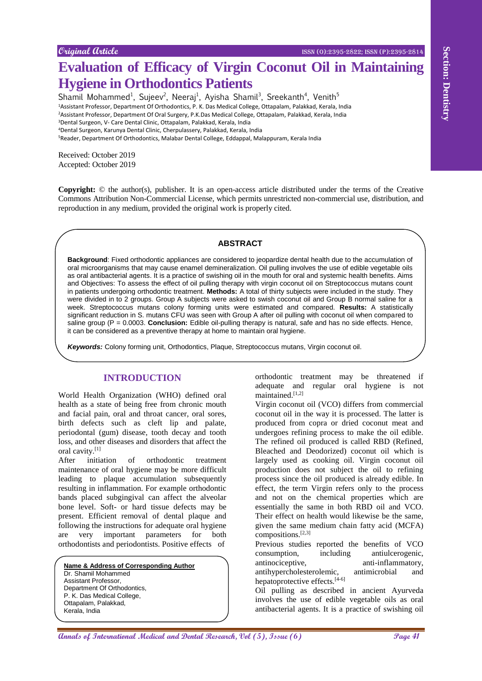# **Evaluation of Efficacy of Virgin Coconut Oil in Maintaining Hygiene in Orthodontics Patients**

Shamil Mohammed<sup>1</sup>, Sujeev<sup>2</sup>, Neeraj<sup>1</sup>, Ayisha Shamil<sup>3</sup>, Sreekanth<sup>4</sup>, Venith<sup>5</sup> <sup>1</sup>Assistant Professor, Department Of Orthodontics, P. K. Das Medical College, Ottapalam, Palakkad, Kerala, India

<sup>2</sup>Assistant Professor, Department Of Oral Surgery, P.K.Das Medical College, Ottapalam, Palakkad, Kerala, India

<sup>3</sup>Dental Surgeon, V- Care Dental Clinic, Ottapalam, Palakkad, Kerala, India

<sup>4</sup>Dental Surgeon, Karunya Dental Clinic, Cherpulassery, Palakkad, Kerala, India

<sup>5</sup>Reader, Department Of Orthodontics, Malabar Dental College, Eddappal, Malappuram, Kerala India

Received: October 2019 Accepted: October 2019

**Copyright:** © the author(s), publisher. It is an open-access article distributed under the terms of the Creative Commons Attribution Non-Commercial License, which permits unrestricted non-commercial use, distribution, and reproduction in any medium, provided the original work is properly cited.

# **ABSTRACT**

**Answer Construction Constrained Construction Constrained Construction Constrained Construction Construction Construction Construction Construction Construction Construction Construction Construction Construction Construct Background**: Fixed orthodontic appliances are considered to jeopardize dental health due to the accumulation of oral microorganisms that may cause enamel demineralization. Oil pulling involves the use of edible vegetable oils as oral antibacterial agents. It is a practice of swishing oil in the mouth for oral and systemic health benefits. Aims and Objectives: To assess the effect of oil pulling therapy with virgin coconut oil on Streptococcus mutans count in patients undergoing orthodontic treatment. **Methods:** A total of thirty subjects were included in the study. They were divided in to 2 groups. Group A subjects were asked to swish coconut oil and Group B normal saline for a week. Streptococcus mutans colony forming units were estimated and compared. **Results:** A statistically significant reduction in S. mutans CFU was seen with Group A after oil pulling with coconut oil when compared to saline group (P = 0.0003. **Conclusion:** Edible oil-pulling therapy is natural, safe and has no side effects. Hence, it can be considered as a preventive therapy at home to maintain oral hygiene.

*Keywords:* Colony forming unit, Orthodontics, Plaque, Streptococcus mutans, Virgin coconut oil.

# **INTRODUCTION**

World Health Organization (WHO) defined oral health as a state of being free from chronic mouth and facial pain, oral and throat cancer, oral sores, birth defects such as cleft lip and palate, periodontal (gum) disease, tooth decay and tooth loss, and other diseases and disorders that affect the oral cavity.[1]

After initiation of orthodontic treatment maintenance of oral hygiene may be more difficult leading to plaque accumulation subsequently resulting in inflammation. For example orthodontic bands placed subgingival can affect the alveolar bone level. Soft- or hard tissue defects may be present. Efficient removal of dental plaque and following the instructions for adequate oral hygiene are very important parameters for both orthodontists and periodontists. Positive effects of

**Name & Address of Corresponding Author** Dr. Shamil Mohammed Assistant Professor, Department Of Orthodontics, P. K. Das Medical College, Ottapalam, Palakkad, Kerala, India

orthodontic treatment may be threatened if adequate and regular oral hygiene is not maintained.[1,2]

Virgin coconut oil (VCO) differs from commercial coconut oil in the way it is processed. The latter is produced from copra or dried coconut meat and undergoes refining process to make the oil edible. The refined oil produced is called RBD (Refined, Bleached and Deodorized) coconut oil which is largely used as cooking oil. Virgin coconut oil production does not subject the oil to refining process since the oil produced is already edible. In effect, the term Virgin refers only to the process and not on the chemical properties which are essentially the same in both RBD oil and VCO. Their effect on health would likewise be the same, given the same medium chain fatty acid (MCFA) compositions.[2,3]

Previous studies reported the benefits of VCO consumption, including antiulcerogenic, antinociceptive, anti-inflammatory, antihypercholesterolemic, antimicrobial and hepatoprotective effects.<sup>[4-6]</sup>

Oil pulling as described in ancient Ayurveda involves the use of edible vegetable oils as oral antibacterial agents. It is a practice of swishing oil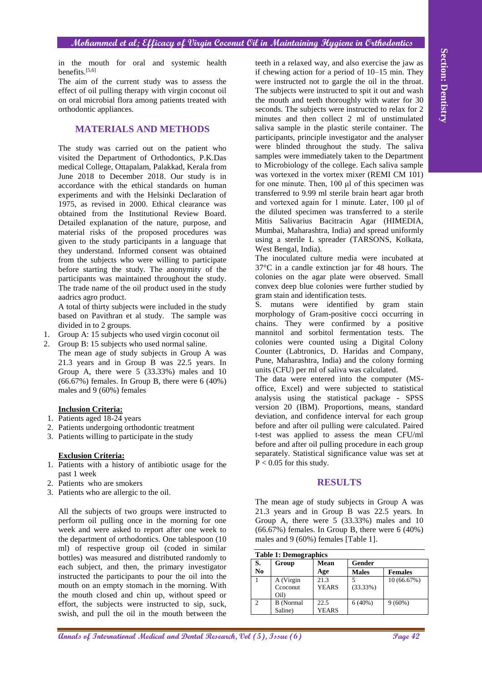#### **Mohammed et al; Efficacy of Virgin Coconut Oil in Maintaining Hygiene in Orthodontics**

in the mouth for oral and systemic health benefits.<sup>[5,6]</sup>

The aim of the current study was to assess the effect of oil pulling therapy with virgin coconut oil on oral microbial flora among patients treated with orthodontic appliances.

# **MATERIALS AND METHODS**

The study was carried out on the patient who visited the Department of Orthodontics, P.K.Das medical College, Ottapalam, Palakkad, Kerala from June 2018 to December 2018. Our study is in accordance with the ethical standards on human experiments and with the Helsinki Declaration of 1975, as revised in 2000. Ethical clearance was obtained from the Institutional Review Board. Detailed explanation of the nature, purpose, and material risks of the proposed procedures was given to the study participants in a language that they understand. Informed consent was obtained from the subjects who were willing to participate before starting the study. The anonymity of the participants was maintained throughout the study. The trade name of the oil product used in the study aadrics agro product.

A total of thirty subjects were included in the study based on Pavithran et al study. The sample was divided in to 2 groups.

- 1. Group A: 15 subjects who used virgin coconut oil
- 2. Group B: 15 subjects who used normal saline. The mean age of study subjects in Group A was 21.3 years and in Group B was 22.5 years. In Group A, there were 5 (33.33%) males and 10  $(66.67%)$  females. In Group B, there were 6  $(40%)$ males and 9 (60%) females

#### **Inclusion Criteria:**

- 1. Patients aged 18-24 years
- 2. Patients undergoing orthodontic treatment
- 3. Patients willing to participate in the study

#### **Exclusion Criteria:**

- 1. Patients with a history of antibiotic usage for the past 1 week
- 2. Patients who are smokers
- 3. Patients who are allergic to the oil.

All the subjects of two groups were instructed to perform oil pulling once in the morning for one week and were asked to report after one week to the department of orthodontics. One tablespoon (10 ml) of respective group oil (coded in similar bottles) was measured and distributed randomly to each subject, and then, the primary investigator instructed the participants to pour the oil into the mouth on an empty stomach in the morning. With the mouth closed and chin up, without speed or effort, the subjects were instructed to sip, suck, swish, and pull the oil in the mouth between the

**Annals of International Medical and Dental Research, Vol (5), Issue (6) Page 42 Section: Dentistry** teeth in a relaxed way, and also exercise the jaw as if chewing action for a period of 10–15 min. They were instructed not to gargle the oil in the throat. The subjects were instructed to spit it out and wash the mouth and teeth thoroughly with water for 30 seconds. The subjects were instructed to relax for 2 minutes and then collect 2 ml of unstimulated saliva sample in the plastic sterile container. The participants, principle investigator and the analyser were blinded throughout the study. The saliva samples were immediately taken to the Department to Microbiology of the college. Each saliva sample was vortexed in the vortex mixer (REMI CM 101) for one minute. Then, 100 μl of this specimen was transferred to 9.99 ml sterile brain heart agar broth and vortexed again for 1 minute. Later, 100 μl of the diluted specimen was transferred to a sterile Mitis Salivarius Bacitracin Agar (HIMEDIA, Mumbai, Maharashtra, India) and spread uniformly using a sterile L spreader (TARSONS, Kolkata, West Bengal, India).

The inoculated culture media were incubated at 37°C in a candle extinction jar for 48 hours. The colonies on the agar plate were observed. Small convex deep blue colonies were further studied by gram stain and identification tests.

S. mutans were identified by gram stain morphology of Gram-positive cocci occurring in chains. They were confirmed by a positive mannitol and sorbitol fermentation tests. The colonies were counted using a Digital Colony Counter (Labtronics, D. Haridas and Company, Pune, Maharashtra, India) and the colony forming units (CFU) per ml of saliva was calculated.

The data were entered into the computer (MSoffice, Excel) and were subjected to statistical analysis using the statistical package - SPSS version 20 (IBM). Proportions, means, standard deviation, and confidence interval for each group before and after oil pulling were calculated. Paired t-test was applied to assess the mean CFU/ml before and after oil pulling procedure in each group separately. Statistical significance value was set at  $P < 0.05$  for this study.

# **RESULTS**

The mean age of study subjects in Group A was 21.3 years and in Group B was 22.5 years. In Group A, there were 5 (33.33%) males and 10 (66.67%) females. In Group B, there were 6 (40%) males and 9 (60%) females [Table 1].

| <b>Table 1: Demographics</b> |                               |                      |              |                |  |  |  |
|------------------------------|-------------------------------|----------------------|--------------|----------------|--|--|--|
| S.                           | Group                         | <b>Mean</b>          | Gender       |                |  |  |  |
| N <sub>0</sub>               |                               | Age                  | <b>Males</b> | <b>Females</b> |  |  |  |
|                              | A (Virgin<br>Ccoconut<br>Oil) | 21.3<br><b>YEARS</b> | (33.33%)     | 10 (66.67%)    |  |  |  |
| $\mathfrak{D}$               | <b>B</b> (Normal<br>Saline)   | 22.5<br><b>YEARS</b> | 6(40%)       | $9(60\%)$      |  |  |  |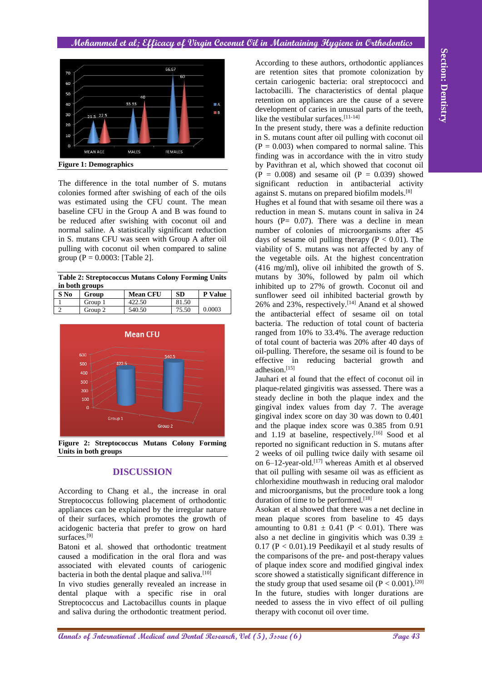#### **Mohammed et al; Efficacy of Virgin Coconut Oil in Maintaining Hygiene in Orthodontics**



**Figure 1: Demographics**

The difference in the total number of S. mutans colonies formed after swishing of each of the oils was estimated using the CFU count. The mean baseline CFU in the Group A and B was found to be reduced after swishing with coconut oil and normal saline. A statistically significant reduction in S. mutans CFU was seen with Group A after oil pulling with coconut oil when compared to saline group ( $P = 0.0003$ : [Table 2].

**Table 2: Streptococcus Mutans Colony Forming Units in both groups**

| S No | Group   | <b>Mean CFU</b> | SD    | <b>P</b> Value |
|------|---------|-----------------|-------|----------------|
|      | Group 1 | 422.50          | 81.50 |                |
|      | Group 2 | 540.50          | 75.50 | 0.0003         |



# **DISCUSSION**

According to Chang et al., the increase in oral Streptococcus following placement of orthodontic appliances can be explained by the irregular nature of their surfaces, which promotes the growth of acidogenic bacteria that prefer to grow on hard surfaces.<sup>[9]</sup>

Batoni et al. showed that orthodontic treatment caused a modification in the oral flora and was associated with elevated counts of cariogenic bacteria in both the dental plaque and saliva. $[10]$ 

In vivo studies generally revealed an increase in dental plaque with a specific rise in oral Streptococcus and Lactobacillus counts in plaque and saliva during the orthodontic treatment period.

According to these authors, orthodontic appliances are retention sites that promote colonization by certain cariogenic bacteria: oral streptococci and lactobacilli. The characteristics of dental plaque retention on appliances are the cause of a severe development of caries in unusual parts of the teeth, like the vestibular surfaces.[11-14]

In the present study, there was a definite reduction in S. mutans count after oil pulling with coconut oil  $(P = 0.003)$  when compared to normal saline. This finding was in accordance with the in vitro study by Pavithran et al, which showed that coconut oil  $(P = 0.008)$  and sesame oil  $(P = 0.039)$  showed significant reduction in antibacterial activity against S. mutans on prepared biofilm models.<sup>[8]</sup>

An ordering to heat encoder the control of the paper spectra of the section of the section of the section of the section of the section of the section of the section of the section of the section of the section of the sec Hughes et al found that with sesame oil there was a reduction in mean S. mutans count in saliva in 24 hours ( $P = 0.07$ ). There was a decline in mean number of colonies of microorganisms after 45 days of sesame oil pulling therapy  $(P < 0.01)$ . The viability of S. mutans was not affected by any of the vegetable oils. At the highest concentration (416 mg/ml), olive oil inhibited the growth of S. mutans by 30%, followed by palm oil which inhibited up to 27% of growth. Coconut oil and sunflower seed oil inhibited bacterial growth by 26% and 23%, respectively.[14] Anand et al showed the antibacterial effect of sesame oil on total bacteria. The reduction of total count of bacteria ranged from 10% to 33.4%. The average reduction of total count of bacteria was 20% after 40 days of oil-pulling. Therefore, the sesame oil is found to be effective in reducing bacterial growth and adhesion.[15]

Jauhari et al found that the effect of coconut oil in plaque-related gingivitis was assessed. There was a steady decline in both the plaque index and the gingival index values from day 7. The average gingival index score on day 30 was down to 0.401 and the plaque index score was 0.385 from 0.91 and 1.19 at baseline, respectively.<sup>[16]</sup> Sood et al reported no significant reduction in S. mutans after 2 weeks of oil pulling twice daily with sesame oil on 6–12-year-old.[17] whereas Amith et al observed that oil pulling with sesame oil was as efficient as chlorhexidine mouthwash in reducing oral malodor and microorganisms, but the procedure took a long duration of time to be performed.<sup>[18]</sup>

Asokan et al showed that there was a net decline in mean plaque scores from baseline to 45 days amounting to  $0.81 \pm 0.41$  (P < 0.01). There was also a net decline in gingivitis which was  $0.39 \pm$  $0.17$  (P < 0.01).19 Peedikayil et al study results of the comparisons of the pre- and post-therapy values of plaque index score and modified gingival index score showed a statistically significant difference in the study group that used sesame oil  $(P < 0.001)$ .<sup>[20]</sup> In the future, studies with longer durations are needed to assess the in vivo effect of oil pulling therapy with coconut oil over time.